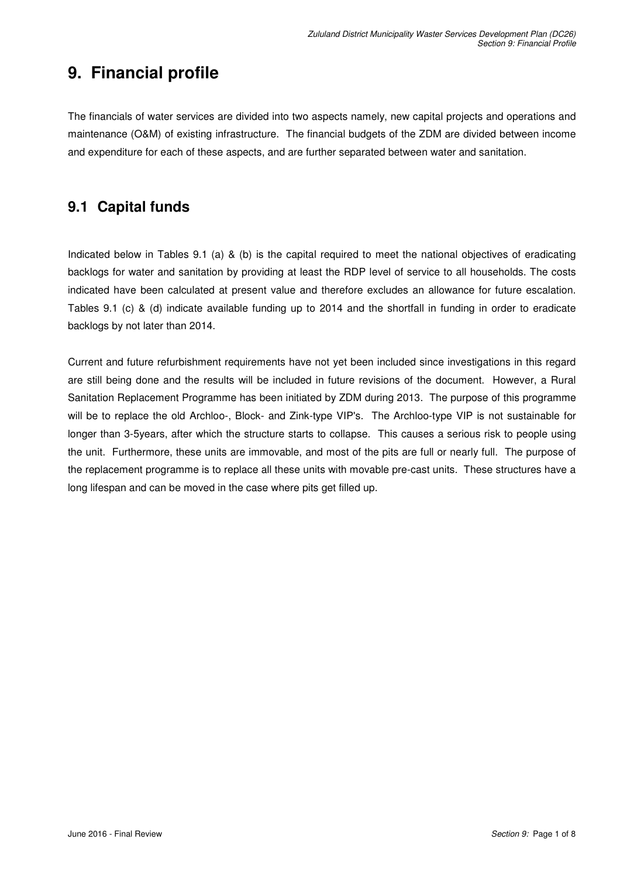# **9. Financial profile**

The financials of water services are divided into two aspects namely, new capital projects and operations and maintenance (O&M) of existing infrastructure. The financial budgets of the ZDM are divided between income and expenditure for each of these aspects, and are further separated between water and sanitation.

### **9.1 Capital funds**

Indicated below in Tables 9.1 (a) & (b) is the capital required to meet the national objectives of eradicating backlogs for water and sanitation by providing at least the RDP level of service to all households. The costs indicated have been calculated at present value and therefore excludes an allowance for future escalation. Tables 9.1 (c) & (d) indicate available funding up to 2014 and the shortfall in funding in order to eradicate backlogs by not later than 2014.

Current and future refurbishment requirements have not yet been included since investigations in this regard are still being done and the results will be included in future revisions of the document. However, a Rural Sanitation Replacement Programme has been initiated by ZDM during 2013. The purpose of this programme will be to replace the old Archloo-, Block- and Zink-type VIP's. The Archloo-type VIP is not sustainable for longer than 3-5years, after which the structure starts to collapse. This causes a serious risk to people using the unit. Furthermore, these units are immovable, and most of the pits are full or nearly full. The purpose of the replacement programme is to replace all these units with movable pre-cast units. These structures have a long lifespan and can be moved in the case where pits get filled up.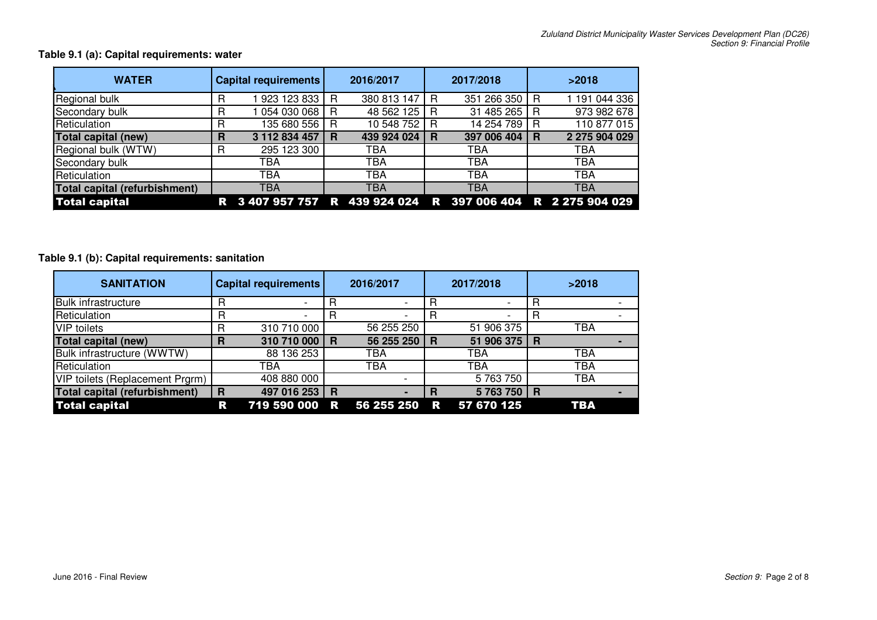| <b>WATER</b>                  |   | Capital requirements                                        |   | 2016/2017   |   | 2017/2018   |   | >2018         |
|-------------------------------|---|-------------------------------------------------------------|---|-------------|---|-------------|---|---------------|
| Regional bulk                 |   | 923 123 833                                                 | R | 380 813 147 | R | 351 266 350 | R | 1 191 044 336 |
| Secondary bulk                | R | 054 030 068                                                 | R | 48 562 125  | R | 31 485 265  | R | 973 982 678   |
| Reticulation                  | R | 135 680 556                                                 | R | 10 548 752  | R | 14 254 789  | R | 110 877 015   |
| Total capital (new)           | R | 3 112 834 457                                               | R | 439 924 024 | R | 397 006 404 | R | 2 275 904 029 |
| Regional bulk (WTW)           | R | 295 123 300                                                 |   | TBA         |   | <b>TBA</b>  |   | TBA           |
| Secondary bulk                |   | TBA                                                         |   | TBA         |   | <b>TBA</b>  |   | TBA           |
| Reticulation                  |   | TBA                                                         |   | <b>TBA</b>  |   | TBA         |   | TBA           |
| Total capital (refurbishment) |   | <b>TBA</b>                                                  |   | TBA         |   | <b>TBA</b>  |   | <b>TBA</b>    |
| <b>Total capital</b>          |   | R 3 407 957 757 R 439 924 024 R 397 006 404 R 2 275 904 029 |   |             |   |             |   |               |

#### **Table 9.1 (a): Capital requirements: water**

#### **Table 9.1 (b): Capital requirements: sanitation**

| <b>SANITATION</b>               | <b>Capital requirements</b> |                          |          | 2016/2017  |          | 2017/2018  | >2018    |            |  |  |
|---------------------------------|-----------------------------|--------------------------|----------|------------|----------|------------|----------|------------|--|--|
| <b>Bulk infrastructure</b>      | R                           | $\overline{\phantom{a}}$ |          |            | B        | ۰.         | R        |            |  |  |
| Reticulation                    | R                           | $\overline{\phantom{a}}$ |          |            | B        | -          | R        |            |  |  |
| <b>VIP</b> toilets              | R                           | 310 710 000              |          | 56 255 250 |          | 51 906 375 |          | <b>TBA</b> |  |  |
| <b>Total capital (new)</b>      | R                           | 310 710 000              | ∣R       | 56 255 250 | <b>R</b> | 51 906 375 | <b>R</b> |            |  |  |
| Bulk infrastructure (WWTW)      |                             | 88 136 253               |          | TBA        |          | <b>TBA</b> |          | TBA        |  |  |
| Reticulation                    |                             | TBA                      |          | <b>TBA</b> |          | TBA        |          | <b>TBA</b> |  |  |
| VIP toilets (Replacement Prgrm) |                             | 408 880 000              |          |            |          | 5 763 750  |          | <b>TBA</b> |  |  |
| Total capital (refurbishment)   | R                           | 497 016 253              | <b>R</b> |            | R        | 5763750    | <b>R</b> |            |  |  |
| <b>Total capital</b>            | R                           | 719 590 000              | R        | 56 255 250 | <b>R</b> | 57 670 125 |          | TBA        |  |  |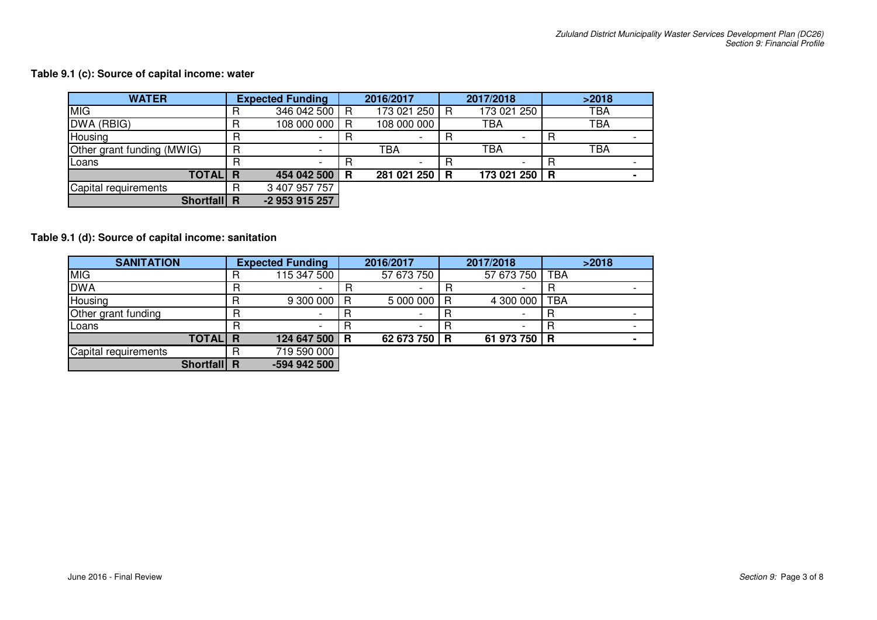#### **Table 9.1 (c): Source of capital income: water**

| <b>WATER</b>               | <b>Expected Funding</b> |                |    | 2016/2017   |   | 2017/2018     | >2018 |            |  |  |
|----------------------------|-------------------------|----------------|----|-------------|---|---------------|-------|------------|--|--|
| MIG                        |                         | 346 042 500 R  |    | 173 021 250 | R | 173 021 250   |       | <b>TBA</b> |  |  |
| DWA (RBIG)                 |                         | 108 000 000    | R  | 108 000 000 |   | <b>TBA</b>    |       | <b>TBA</b> |  |  |
| Housing                    |                         |                |    |             | R |               | B     |            |  |  |
| Other grant funding (MWIG) |                         |                |    | TBA         |   | TBA           |       | <b>TBA</b> |  |  |
| Loans                      |                         |                |    |             | R |               | R     |            |  |  |
| <b>TOTAL</b>               | -R                      | 454 042 500    | -R | 281 021 250 | R | 173 021 250 R |       |            |  |  |
| Capital requirements       |                         | 3 407 957 757  |    |             |   |               |       |            |  |  |
| <b>Shortfall</b>           | -R                      | -2 953 915 257 |    |             |   |               |       |            |  |  |

#### **Table 9.1 (d): Source of capital income: sanitation**

| <b>SANITATION</b>    |          | <b>Expected Funding</b> |  | 2016/2017    |   | 2017/2018    |            |  |  |
|----------------------|----------|-------------------------|--|--------------|---|--------------|------------|--|--|
| MIG                  |          | 115 347 500             |  | 57 673 750   |   | 57 673 750   | TBA        |  |  |
| <b>DWA</b>           |          |                         |  |              | B |              |            |  |  |
| Housing              |          | 9 300 000 R             |  | 5 000 000 R  |   | 4 300 000    | <b>TBA</b> |  |  |
| Other grant funding  |          |                         |  |              |   |              |            |  |  |
| Loans                |          |                         |  |              | R |              |            |  |  |
| <b>TOTAL</b>         | <b>R</b> | 124 647 500 R           |  | 62 673 750 R |   | 61 973 750 R |            |  |  |
| Capital requirements |          | 719 590 000             |  |              |   |              |            |  |  |
| Shortfall R          |          | -594 942 500            |  |              |   |              |            |  |  |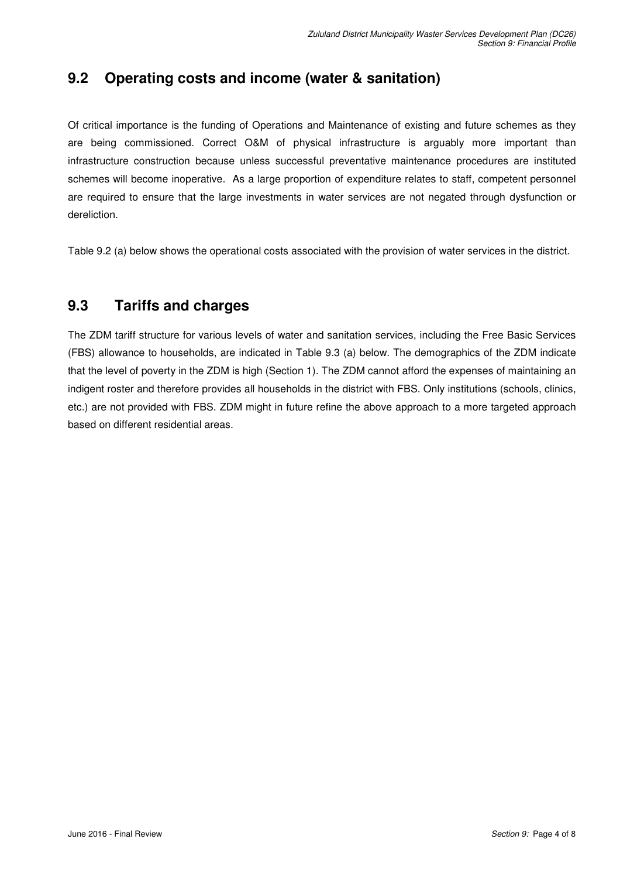## **9.2 Operating costs and income (water & sanitation)**

Of critical importance is the funding of Operations and Maintenance of existing and future schemes as they are being commissioned. Correct O&M of physical infrastructure is arguably more important than infrastructure construction because unless successful preventative maintenance procedures are instituted schemes will become inoperative. As a large proportion of expenditure relates to staff, competent personnel are required to ensure that the large investments in water services are not negated through dysfunction or dereliction.

Table 9.2 (a) below shows the operational costs associated with the provision of water services in the district.

### **9.3 Tariffs and charges**

The ZDM tariff structure for various levels of water and sanitation services, including the Free Basic Services (FBS) allowance to households, are indicated in Table 9.3 (a) below. The demographics of the ZDM indicate that the level of poverty in the ZDM is high (Section 1). The ZDM cannot afford the expenses of maintaining an indigent roster and therefore provides all households in the district with FBS. Only institutions (schools, clinics, etc.) are not provided with FBS. ZDM might in future refine the above approach to a more targeted approach based on different residential areas.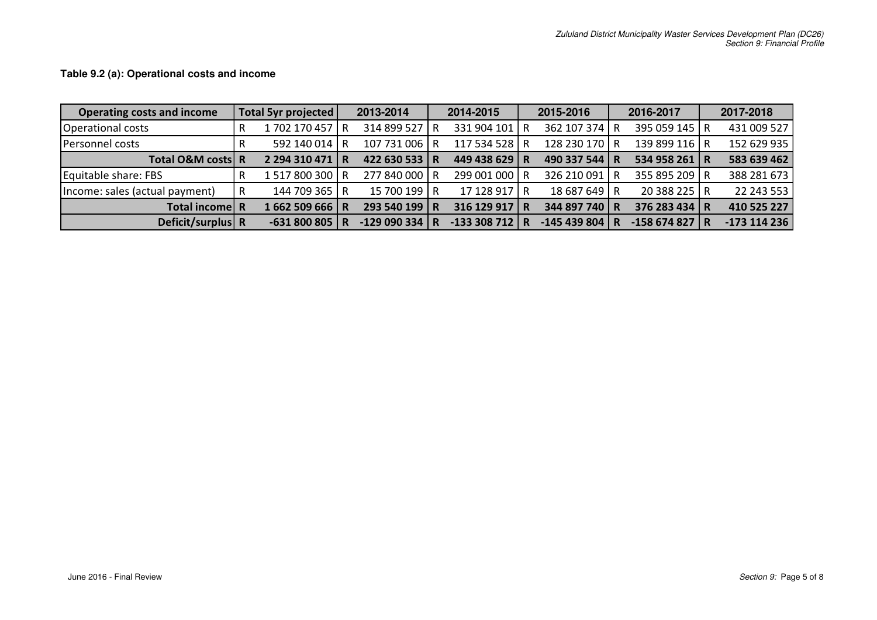| <b>Operating costs and income</b> | Total 5yr projected |                 | 2013-2014      |   | 2014-2015      | 2015-2016 |               |     | 2016-2017      | 2017-2018    |  |
|-----------------------------------|---------------------|-----------------|----------------|---|----------------|-----------|---------------|-----|----------------|--------------|--|
| Operational costs                 |                     | 1702 170 457 R  | 314 899 527    | R | 331 904 101 R  |           | 362 107 374 R |     | 395 059 145 R  | 431 009 527  |  |
| Personnel costs                   |                     | 592 140 014 R   | 107 731 006 R  |   | 117 534 528 R  |           | 128 230 170 R |     | 139 899 116 R  | 152 629 935  |  |
| Total O&M costs R                 |                     | 2 294 310 471 R | 422 630 533 R  |   | 449 438 629 R  |           | 490 337 544   | I R | 534 958 261 R  | 583 639 462  |  |
| Equitable share: FBS              |                     | 1517800300 R    | 277 840 000 R  |   | 299 001 000 R  |           | 326 210 091   | I R | 355 895 209 R  | 388 281 673  |  |
| Income: sales (actual payment)    | R                   | 144 709 365 R   | 15 700 199 R   |   | 17 128 917 R   |           | 18 687 649 R  |     | 20 388 225 R   | 22 243 553   |  |
| Total income R                    |                     | 1662 509 666 R  | 293 540 199 R  |   | 316 129 917 R  |           | 344 897 740 R |     | 376 283 434 R  | 410 525 227  |  |
| Deficit/surplus R                 |                     | $-631800805$ R  | $-129090334$ R |   | $-133308712$ R |           | -145 439 804  |     | $-158674827$ R | -173 114 236 |  |

**Table 9.2 (a): Operational costs and income**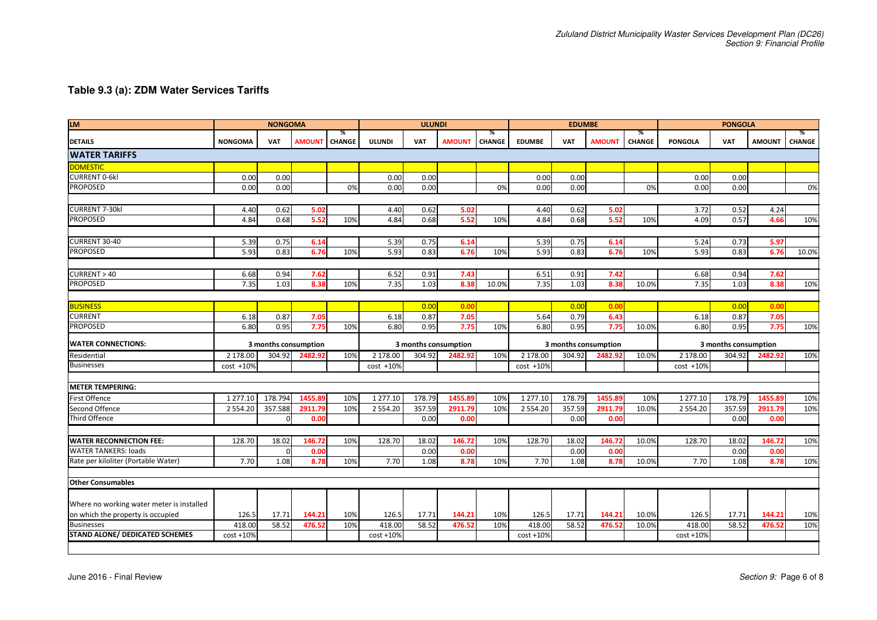#### **Table 9.3 (a): ZDM Water Services Tariffs**

| <b>LM</b>                                 | <b>NONGOMA</b> |              |                      |                    | <b>ULUNDI</b> |            |                      |                    | <b>EDUMBE</b>                          |            |                      |             | <b>PONGOLA</b>                       |                      |               |                    |
|-------------------------------------------|----------------|--------------|----------------------|--------------------|---------------|------------|----------------------|--------------------|----------------------------------------|------------|----------------------|-------------|--------------------------------------|----------------------|---------------|--------------------|
| <b>DETAILS</b>                            | <b>NONGOMA</b> | <b>VAT</b>   | <b>AMOUNT</b>        | %<br><b>CHANGE</b> | <b>ULUNDI</b> | <b>VAT</b> | <b>AMOUNT</b>        | %<br><b>CHANGE</b> | <b>EDUMBE</b>                          | <b>VAT</b> | <b>AMOUNT</b>        | %<br>CHANGE | <b>PONGOLA</b>                       | <b>VAT</b>           | <b>AMOUNT</b> | %<br><b>CHANGE</b> |
| <b>WATER TARIFFS</b>                      |                |              |                      |                    |               |            |                      |                    |                                        |            |                      |             |                                      |                      |               |                    |
| <b>DOMESTIC</b>                           |                |              |                      |                    |               |            |                      |                    |                                        |            |                      |             |                                      |                      |               |                    |
| <b>CURRENT 0-6kl</b>                      | 0.00           | 0.00         |                      |                    | 0.00          | 0.00       |                      |                    | 0.00                                   | 0.00       |                      |             | 0.00                                 | 0.00                 |               |                    |
| <b>PROPOSED</b>                           | 0.00           | 0.00         |                      | 0%                 | 0.00          | 0.00       |                      | 0%                 | 0.00                                   | 0.00       |                      | 0%          | 0.00                                 | 0.00                 |               | 0%                 |
|                                           |                |              |                      |                    |               |            |                      |                    |                                        |            |                      |             |                                      |                      |               |                    |
| <b>CURRENT 7-30kl</b>                     | 4.40           | 0.62         | 5.02                 |                    | 4.40          | 0.62       | 5.02                 |                    | 4.40                                   | 0.62       | 5.02                 |             | 3.72                                 | 0.52                 | 4.24          |                    |
| <b>PROPOSED</b>                           | 4.84           | 0.68         | 5.52                 | 10%                | 4.84          | 0.68       | 5.52                 | 10%                | 4.84                                   | 0.68       | 5.52                 | 10%         | 4.09                                 | 0.57                 | 4.66          | 10%                |
|                                           |                |              |                      |                    |               |            |                      |                    |                                        |            |                      |             |                                      |                      |               |                    |
| CURRENT 30-40                             | 5.39           | 0.75         | 6.14                 |                    | 5.39          | 0.75       | 6.14                 |                    | 5.39                                   | 0.75       | 6.14                 |             | 5.24                                 | 0.73                 | 5.97          |                    |
| <b>PROPOSED</b>                           | 5.93           | 0.83         | 6.76                 | 10%                | 5.93          | 0.83       | 6.76                 | 10%                | 5.93                                   | 0.83       | 6.76                 | 10%         | 5.93                                 | 0.83                 | 6.76          | 10.0%              |
|                                           |                |              |                      |                    |               |            |                      |                    |                                        |            |                      |             |                                      |                      |               |                    |
| CURRENT > 40                              | 6.68           | 0.94         | 7.62                 |                    | 6.52          | 0.91       | 7.43                 |                    | 6.51                                   | 0.91       | 7.42                 |             | 6.68                                 | 0.94                 | 7.62          |                    |
| <b>PROPOSED</b>                           | 7.35           | 1.03         | 8.38                 | 10%                | 7.35          | 1.03       | 8.38                 | 10.0%              | 7.35                                   | 1.03       | 8.38                 | 10.0%       | 7.35                                 | 1.03                 | 8.38          | 10%                |
|                                           |                |              |                      |                    |               |            |                      |                    |                                        |            |                      |             |                                      |                      |               |                    |
| <b>BUSINESS</b>                           |                |              |                      |                    |               | 0.00       | 0.00                 |                    |                                        | 0.00       | 0.00                 |             |                                      | 0.00                 | 0.00          |                    |
| <b>CURRENT</b>                            | 6.18           | 0.87         | 7.05                 |                    | 6.18          | 0.87       | 7.05                 |                    | 5.64                                   | 0.79       | 6.43                 |             | 6.18                                 | 0.87                 | 7.05          |                    |
| <b>PROPOSED</b>                           | 6.80           | 0.95         | 7.75                 | 10%                | 6.80          | 0.95       | 7.75                 | 10%                | 6.80                                   | 0.95       | 7.75                 | 10.0%       | 6.80                                 | 0.95                 | 7.75          | 10%                |
| <b>WATER CONNECTIONS:</b>                 |                |              | 3 months consumption |                    |               |            | 3 months consumption |                    |                                        |            | 3 months consumption |             |                                      | 3 months consumption |               |                    |
| Residential                               | 2 178.00       | 304.92       | 2482.92              | 10%                | 2 178.00      | 304.92     | 2482.92              | 10%                | 2 178.00<br>304.92<br>2482.92<br>10.0% |            |                      |             | 2 178.00<br>304.92<br>2482.92<br>10% |                      |               |                    |
| Businesses                                | cost +10%      |              |                      |                    | $cost +10%$   |            |                      |                    | $cost + 10%$                           |            |                      |             | cost +10%                            |                      |               |                    |
|                                           |                |              |                      |                    |               |            |                      |                    |                                        |            |                      |             |                                      |                      |               |                    |
| <b>METER TEMPERING:</b>                   |                |              |                      |                    |               |            |                      |                    |                                        |            |                      |             |                                      |                      |               |                    |
| First Offence                             | 1 277.10       | 178.794      | 1455.89              | 10%                | 1 277.10      | 178.79     | 1455.89              | 10%                | 1 277.10                               | 178.79     | 1455.89              | 10%         | 1 277.10                             | 178.79               | 1455.89       | 10%                |
| <b>Second Offence</b>                     | 2 5 5 4 . 2 0  | 357.588      | 2911.79              | 10%                | 2 5 5 4 . 20  | 357.59     | 2911.79              | 10%                | 2 5 5 4 . 2 0                          | 357.59     | 2911.79              | 10.0%       | 2 5 5 4 . 2 0                        | 357.59               | 2911.79       | 10%                |
| <b>Third Offence</b>                      |                | $\Omega$     | 0.00                 |                    |               | 0.00       | 0.00                 |                    |                                        | 0.00       | 0.00                 |             |                                      | 0.00                 | 0.00          |                    |
|                                           |                |              |                      |                    |               |            |                      |                    |                                        |            |                      |             |                                      |                      |               |                    |
| <b>WATER RECONNECTION FEE:</b>            | 128.70         | 18.02        | 146.72               | 10%                | 128.70        | 18.02      | 146.72               | 10%                | 128.70                                 | 18.02      | 146.72               | 10.0%       | 128.70                               | 18.02                | 146.72        | 10%                |
| <b>WATER TANKERS: loads</b>               |                | <sup>0</sup> | 0.00                 |                    |               | 0.00       | 0.00                 |                    |                                        | 0.00       | 0.00                 |             |                                      | 0.00                 | 0.00          |                    |
| Rate per kiloliter (Portable Water)       | 7.70           | 1.08         | 8.78                 | 10%                | 7.70          | 1.08       | 8.78                 | 10%                | 7.70                                   | 1.08       | 8.78                 | 10.0%       | 7.70                                 | 1.08                 | 8.78          | 10%                |
|                                           |                |              |                      |                    |               |            |                      |                    |                                        |            |                      |             |                                      |                      |               |                    |
| <b>Other Consumables</b>                  |                |              |                      |                    |               |            |                      |                    |                                        |            |                      |             |                                      |                      |               |                    |
|                                           |                |              |                      |                    |               |            |                      |                    |                                        |            |                      |             |                                      |                      |               |                    |
| Where no working water meter is installed |                |              |                      |                    |               |            |                      |                    |                                        |            |                      |             |                                      |                      |               |                    |
| on which the property is occupied         | 126.5          | 17.71        | 144.21               | 10%                | 126.5         | 17.71      | 144.21               | 10%                | 126.5                                  | 17.71      | 144.21               | 10.0%       | 126.5                                | 17.71                | 144.21        | 10%                |
| <b>Businesses</b>                         | 418.00         | 58.52        | 476.52               | 10%                | 418.00        | 58.52      | 476.52               | 10%                | 418.00                                 | 58.52      | 476.52               | 10.0%       | 418.00                               | 58.52                | 476.52        | 10%                |
|                                           |                |              |                      |                    |               |            |                      |                    |                                        |            |                      |             |                                      |                      |               |                    |
| STAND ALONE/ DEDICATED SCHEMES            | $cost + 10%$   |              |                      |                    | $cost + 10%$  |            |                      |                    | $cost + 10%$                           |            |                      |             | $cost + 10%$                         |                      |               |                    |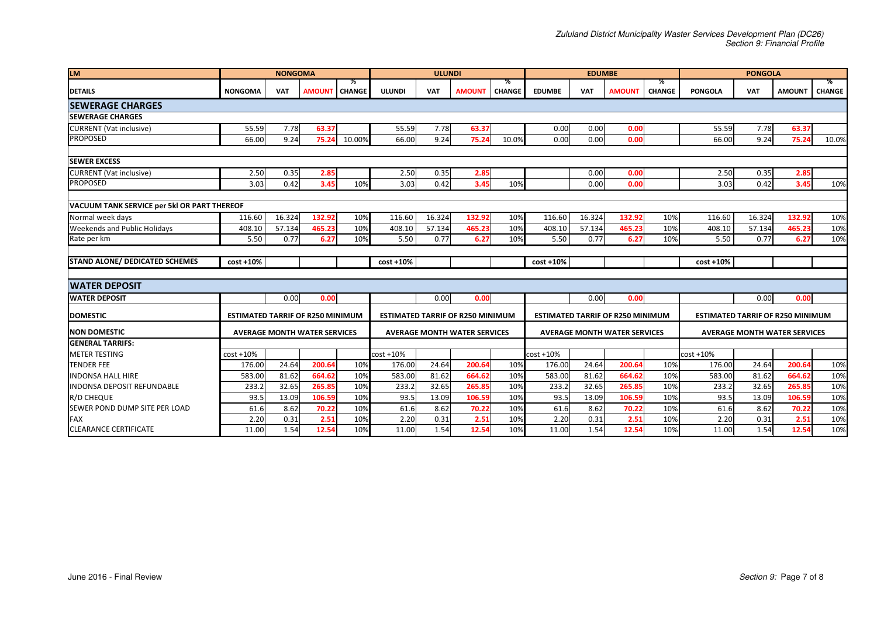| <b>LM</b>                                   |                                         | <b>NONGOMA</b> |                                     |        |                                         | <b>ULUNDI</b> |                                     |                    |                                         | <b>EDUMBE</b> |                                     |                    | <b>PONGOLA</b>                          |            |                                     |                    |
|---------------------------------------------|-----------------------------------------|----------------|-------------------------------------|--------|-----------------------------------------|---------------|-------------------------------------|--------------------|-----------------------------------------|---------------|-------------------------------------|--------------------|-----------------------------------------|------------|-------------------------------------|--------------------|
| <b>DETAILS</b>                              | <b>NONGOMA</b>                          | <b>VAT</b>     | <b>AMOUNT   CHANGE</b>              | ℅      | <b>ULUNDI</b>                           | <b>VAT</b>    | <b>AMOUNT</b>                       | %<br><b>CHANGE</b> | <b>EDUMBE</b>                           | <b>VAT</b>    | <b>AMOUNT</b>                       | %<br><b>CHANGE</b> | <b>PONGOLA</b>                          | <b>VAT</b> | <b>AMOUNT</b>                       | %<br><b>CHANGE</b> |
| <b>ISEWERAGE CHARGES</b>                    |                                         |                |                                     |        |                                         |               |                                     |                    |                                         |               |                                     |                    |                                         |            |                                     |                    |
| <b>SEWERAGE CHARGES</b>                     |                                         |                |                                     |        |                                         |               |                                     |                    |                                         |               |                                     |                    |                                         |            |                                     |                    |
| <b>CURRENT</b> (Vat inclusive)              | 55.59                                   | 7.78           | 63.37                               |        | 55.59                                   | 7.78          | 63.37                               |                    | 0.00                                    | 0.00          | 0.00                                |                    | 55.59                                   | 7.78       | 63.37                               |                    |
| <b>PROPOSED</b>                             | 66.00                                   | 9.24           | 75.24                               | 10.00% | 66.00                                   | 9.24          | 75.24                               | 10.0%              | 0.00                                    | 0.00          | 0.00                                |                    | 66.00                                   | 9.24       | 75.24                               | 10.0%              |
| <b>SEWER EXCESS</b>                         |                                         |                |                                     |        |                                         |               |                                     |                    |                                         |               |                                     |                    |                                         |            |                                     |                    |
| <b>CURRENT</b> (Vat inclusive)              | 2.50                                    | 0.35           | 2.85                                |        | 2.50                                    | 0.35          | 2.85                                |                    |                                         | 0.00          | 0.00                                |                    | 2.50                                    | 0.35       | 2.85                                |                    |
| <b>PROPOSED</b>                             | 3.03                                    | 0.42           | 3.45                                | 10%    | 3.03                                    | 0.42          | 3.45                                | 10%                |                                         | 0.00          | 0.00                                |                    | 3.03                                    | 0.42       | 3.45                                | 10%                |
|                                             |                                         |                |                                     |        |                                         |               |                                     |                    |                                         |               |                                     |                    |                                         |            |                                     |                    |
| VACUUM TANK SERVICE per 5kl OR PART THEREOF |                                         |                |                                     |        |                                         |               |                                     |                    |                                         |               |                                     |                    |                                         |            |                                     |                    |
| Normal week days                            | 116.60                                  | 16.324         | 132.92                              | 10%    | 116.60                                  | 16.324        | 132.92                              | 10%                | 116.60                                  | 16.324        | 132.92                              | 10%                | 116.60                                  | 16.324     | 132.92                              | 10%                |
| <b>Weekends and Public Holidays</b>         | 408.10                                  | 57.134         | 465.23                              | 10%    | 408.10                                  | 57.134        | 465.23                              | 10%                | 408.10                                  | 57.134        | 465.23                              | 10%                | 408.10                                  | 57.134     | 465.23                              | 10%                |
| Rate per km                                 | 5.50                                    | 0.77           | 6.27                                | 10%    | 5.50                                    | 0.77          | 6.27                                | 10%                | 5.50                                    | 0.77          | 6.27                                | 10%                | 5.50                                    | 0.77       | 6.27                                | 10%                |
| <b>STAND ALONE/ DEDICATED SCHEMES</b>       | $cost + 10%$                            |                |                                     |        | $cost + 10%$                            |               |                                     |                    | $cost + 10%$                            |               |                                     |                    | $cost + 10%$                            |            |                                     |                    |
|                                             |                                         |                |                                     |        |                                         |               |                                     |                    |                                         |               |                                     |                    |                                         |            |                                     |                    |
| <b>IWATER DEPOSIT</b>                       |                                         |                |                                     |        |                                         |               |                                     |                    |                                         |               |                                     |                    |                                         |            |                                     |                    |
| <b>WATER DEPOSIT</b>                        |                                         | 0.00           | 0.00                                |        |                                         | 0.00          | 0.00                                |                    |                                         | 0.00          | 0.00                                |                    |                                         | 0.00       | 0.00                                |                    |
| <b>DOMESTIC</b>                             | <b>ESTIMATED TARRIF OF R250 MINIMUM</b> |                |                                     |        | <b>ESTIMATED TARRIF OF R250 MINIMUM</b> |               |                                     |                    | <b>ESTIMATED TARRIF OF R250 MINIMUM</b> |               |                                     |                    | <b>ESTIMATED TARRIF OF R250 MINIMUM</b> |            |                                     |                    |
| <b>NON DOMESTIC</b>                         |                                         |                | <b>AVERAGE MONTH WATER SERVICES</b> |        |                                         |               | <b>AVERAGE MONTH WATER SERVICES</b> |                    |                                         |               | <b>AVERAGE MONTH WATER SERVICES</b> |                    |                                         |            | <b>AVERAGE MONTH WATER SERVICES</b> |                    |
| <b>GENERAL TARRIFS:</b>                     |                                         |                |                                     |        |                                         |               |                                     |                    |                                         |               |                                     |                    |                                         |            |                                     |                    |
| <b>METER TESTING</b>                        | $cost + 10%$                            |                |                                     |        | $cost + 10%$                            |               |                                     |                    | $cost + 10%$                            |               |                                     |                    | $cost + 10%$                            |            |                                     |                    |
| <b>TENDER FEE</b>                           | 176.00                                  | 24.64          | 200.64                              | 10%    | 176.00                                  | 24.64         | 200.64                              | 10%                | 176.00                                  | 24.64         | 200.64                              | 10%                | 176.00                                  | 24.64      | 200.64                              | 10%                |
| <b>INDONSA HALL HIRE</b>                    | 583.00                                  | 81.62          | 664.62                              | 10%    | 583.00                                  | 81.62         | 664.62                              | 10%                | 583.00                                  | 81.62         | 664.62                              | 10%                | 583.00                                  | 81.62      | 664.62                              | 10%                |
| <b>INDONSA DEPOSIT REFUNDABLE</b>           | 233.2                                   | 32.65          | 265.85                              | 10%    | 233.2                                   | 32.65         | 265.85                              | 10%                | 233.2                                   | 32.65         | 265.85                              | 10%                | 233.2                                   | 32.65      | 265.85                              | 10%                |
| <b>R/D CHEQUE</b>                           | 93.5                                    | 13.09          | 106.59                              | 10%    | 93.5                                    | 13.09         | 106.59                              | 10%                | 93.5                                    | 13.09         | 106.59                              | 10%                | 93.5                                    | 13.09      | 106.59                              | 10%                |
| SEWER POND DUMP SITE PER LOAD               | 61.6                                    | 8.62           | 70.22                               | 10%    | 61.6                                    | 8.62          | 70.22                               | 10%                | 61.6                                    | 8.62          | 70.22                               | 10%                | 61.6                                    | 8.62       | 70.22                               | 10%                |
| <b>FAX</b>                                  | 2.20                                    | 0.31           | 2.51                                | 10%    | 2.20                                    | 0.31          | 2.51                                | 10%                | 2.20                                    | 0.31          | 2.51                                | 10%                | 2.20                                    | 0.31       | 2.51                                | 10%                |
| <b>CLEARANCE CERTIFICATE</b>                | 11.00                                   | 1.54           | 12.54                               | 10%    | 11.00                                   | 1.54          | 12.54                               | 10%                | 11.00                                   | 1.54          | 12.54                               | 10%                | 11.00                                   | 1.54       | 12.54                               | 10%                |